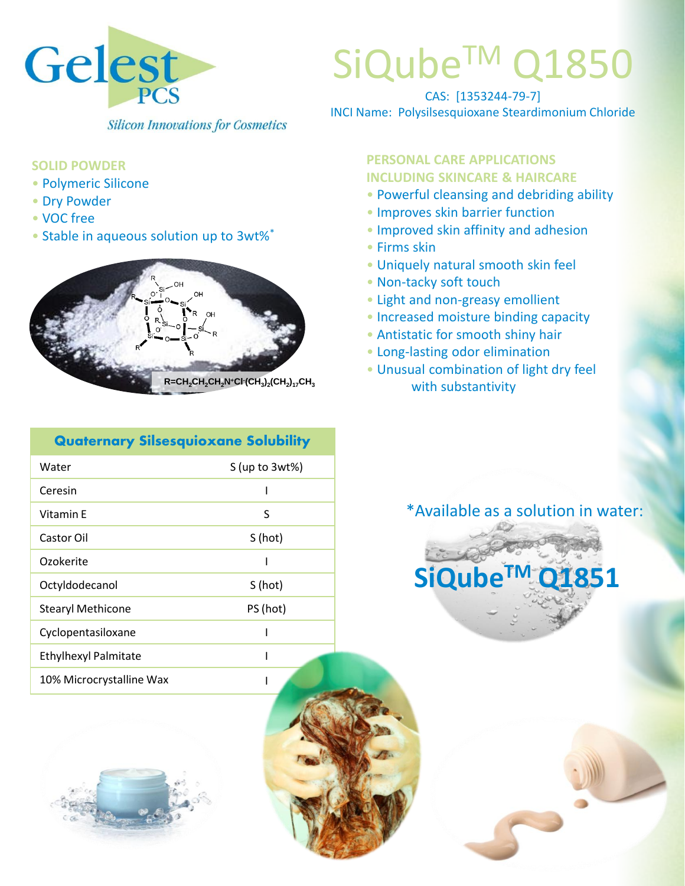

# SiQube<sup>™</sup> Q1850

CAS: [1353244-79-7] INCI Name: Polysilsesquioxane Steardimonium Chloride

#### **SOLID POWDER**

- Polymeric Silicone
- Dry Powder
- VOC free
- Stable in aqueous solution up to 3wt%\*



#### **Quaternary Silsesquioxane Solubility**

| Water                       | $S$ (up to $3wt\%$ ) |
|-----------------------------|----------------------|
| Ceresin                     | I                    |
| Vitamin F                   | S                    |
| Castor Oil                  | S(hot)               |
| Ozokerite                   |                      |
| Octyldodecanol              | S (hot)              |
| <b>Stearyl Methicone</b>    | PS (hot)             |
| Cyclopentasiloxane          |                      |
| <b>Ethylhexyl Palmitate</b> |                      |
| 10% Microcrystalline Wax    |                      |



#### **PERSONAL CARE APPLICATIONS INCLUDING SKINCARE & HAIRCARE**

- Powerful cleansing and debriding ability
- Improves skin barrier function
- Improved skin affinity and adhesion
- Firms skin
- Uniquely natural smooth skin feel
- Non-tacky soft touch
- Light and non-greasy emollient
- Increased moisture binding capacity
- Antistatic for smooth shiny hair
- Long-lasting odor elimination
- Unusual combination of light dry feel with substantivity

# \*Available as a solution in water: